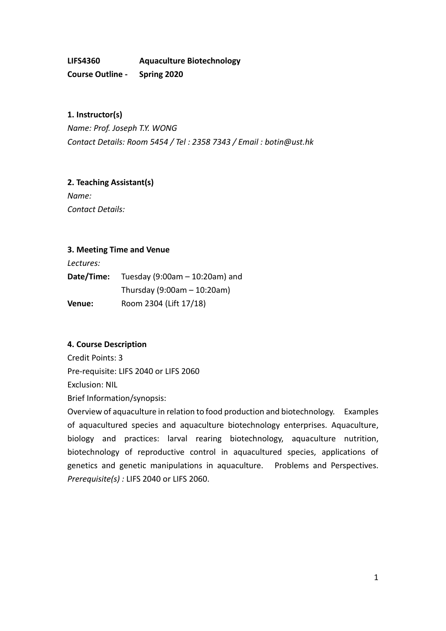**LIFS4360 Aquaculture Biotechnology Course Outline - Spring 2020**

**1. Instructor(s)**  *Name: Prof. Joseph T.Y. WONG Contact Details: Room 5454 / Tel : 2358 7343 / Email : botin@ust.hk*

**2. Teaching Assistant(s)** 

*Name: Contact Details:* 

### **3. Meeting Time and Venue**

*Lectures:* 

| Date/Time: | Tuesday (9:00am $-$ 10:20am) and |  |
|------------|----------------------------------|--|
|            | Thursday $(9:00am - 10:20am)$    |  |
| Venue:     | Room 2304 (Lift 17/18)           |  |

## **4. Course Description**

Credit Points: 3 Pre-requisite: LIFS 2040 or LIFS 2060 Exclusion: NIL Brief Information/synopsis:

Overview of aquaculture in relation to food production and biotechnology. Examples of aquacultured species and aquaculture biotechnology enterprises. Aquaculture, biology and practices: larval rearing biotechnology, aquaculture nutrition, biotechnology of reproductive control in aquacultured species, applications of genetics and genetic manipulations in aquaculture. Problems and Perspectives. *Prerequisite(s) :* LIFS 2040 or LIFS 2060.